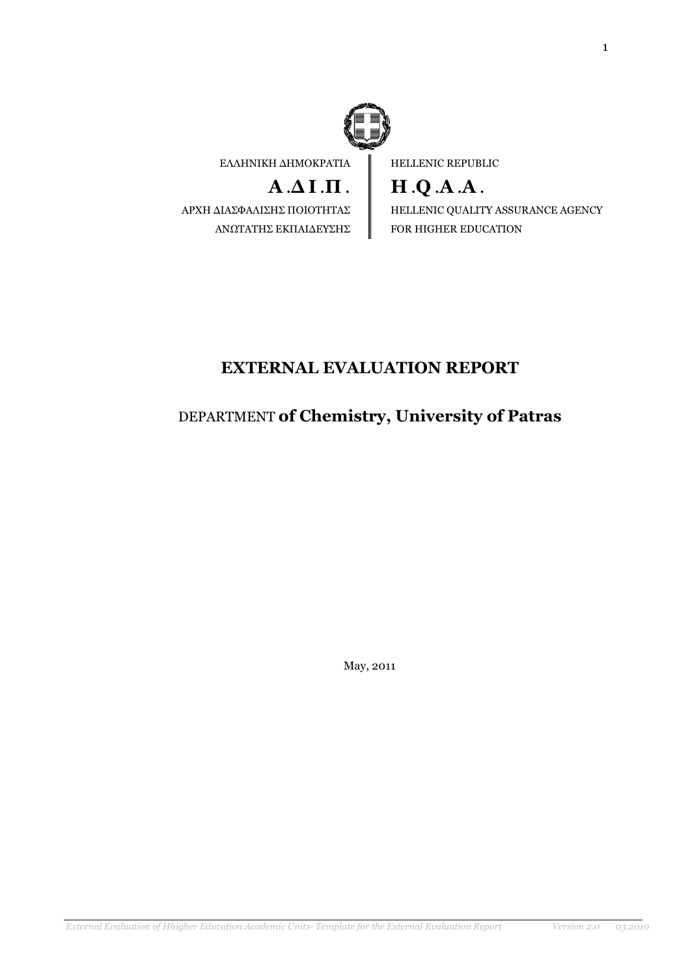

ΕΛΛΗΝΙΚΗ ∆ΗΜΟΚΡΑΤΙΑ

# $A \Delta I \Pi$ .

ΑΡΧΗ ∆ΙΑΣΦΑΛΙΣΗΣ ΠΟΙΟΤΗΤΑΣ ΑΝΩΤΑΤΗΣ ΕΚΠΑΙ∆ΕΥΣΗΣ

HELLENIC REPUBLIC

H .Q .A .A . HELLENIC QUALITY ASSURANCE AGENCY FOR HIGHER EDUCATION

# EXTERNAL EVALUATION REPORT

# DEPARTMENT of Chemistry, University of Patras

May, 2011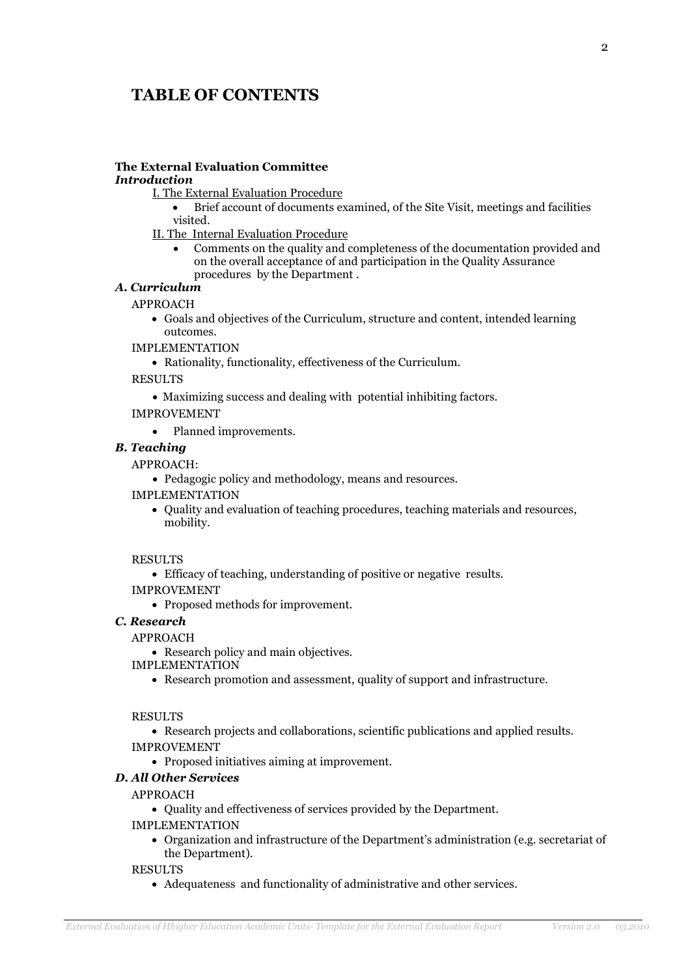# TABLE OF CONTENTS

# The External Evaluation Committee

### Introduction

- I. The External Evaluation Procedure
	- Brief account of documents examined, of the Site Visit, meetings and facilities visited.
- II. The Internal Evaluation Procedure
	- Comments on the quality and completeness of the documentation provided and on the overall acceptance of and participation in the Quality Assurance procedures by the Department .

### Α. Curriculum

#### APPROACH

- Goals and objectives of the Curriculum, structure and content, intended learning outcomes.
- IMPLEMENTATION
	- Rationality, functionality, effectiveness of the Curriculum.

RESULTS

- Maximizing success and dealing with potential inhibiting factors.
- IMPROVEMENT
	- Planned improvements.

#### B. Teaching

#### APPROACH:

- Pedagogic policy and methodology, means and resources.
- IMPLEMENTATION
	- Quality and evaluation of teaching procedures, teaching materials and resources, mobility.

#### RESULTS

- Efficacy of teaching, understanding of positive or negative results.
- IMPROVEMENT
	- Proposed methods for improvement.

### C. Research

#### APPROACH

- Research policy and main objectives.
- IMPLEMENTATION
	- Research promotion and assessment, quality of support and infrastructure.

#### RESULTS

- Research projects and collaborations, scientific publications and applied results.
- IMPROVEMENT
	- Proposed initiatives aiming at improvement.

### D. All Other Services

#### APPROACH

• Quality and effectiveness of services provided by the Department.

#### IMPLEMENTATION

• Organization and infrastructure of the Department's administration (e.g. secretariat of the Department).

RESULTS

• Adequateness and functionality of administrative and other services.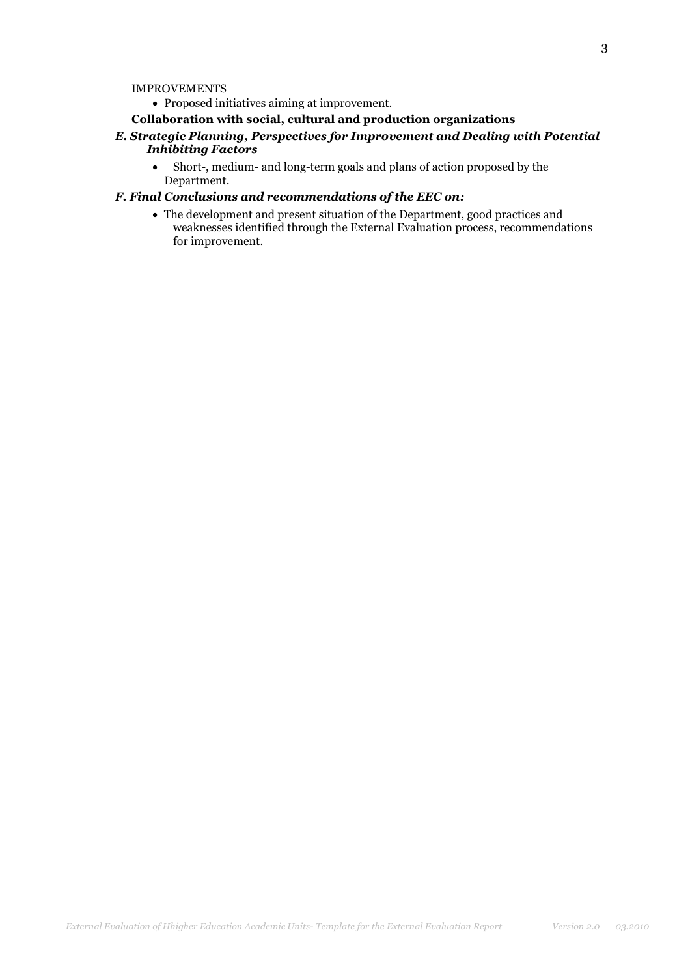#### IMPROVEMENTS

• Proposed initiatives aiming at improvement.

#### Collaboration with social, cultural and production organizations

- E. Strategic Planning, Perspectives for Improvement and Dealing with Potential Inhibiting Factors
	- Short-, medium- and long-term goals and plans of action proposed by the Department.

### F. Final Conclusions and recommendations of the EEC on:

• The development and present situation of the Department, good practices and weaknesses identified through the External Evaluation process, recommendations for improvement.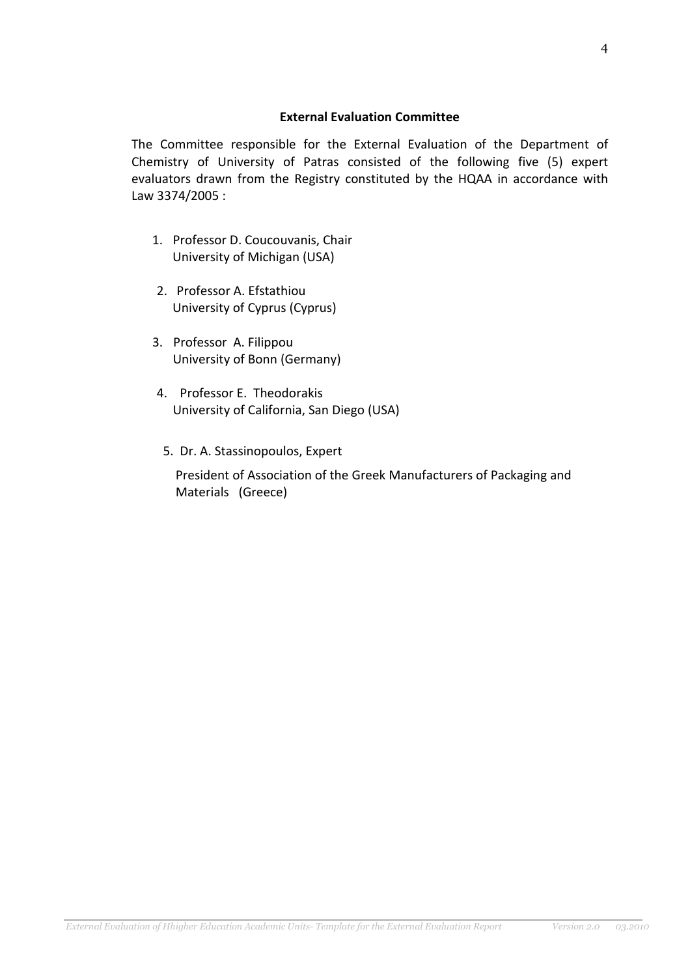### External Evaluation Committee

The Committee responsible for the External Evaluation of the Department of Chemistry of University of Patras consisted of the following five (5) expert evaluators drawn from the Registry constituted by the HQAA in accordance with Law 3374/2005 :

- 1. Professor D. Coucouvanis, Chair University of Michigan (USA)
- 2. Professor A. Efstathiou University of Cyprus (Cyprus)
- 3. Professor A. Filippou University of Bonn (Germany)
- 4. Professor E. Theodorakis University of California, San Diego (USA)
- 5. Dr. A. Stassinopoulos, Expert

 President of Association of the Greek Manufacturers of Packaging and Materials (Greece)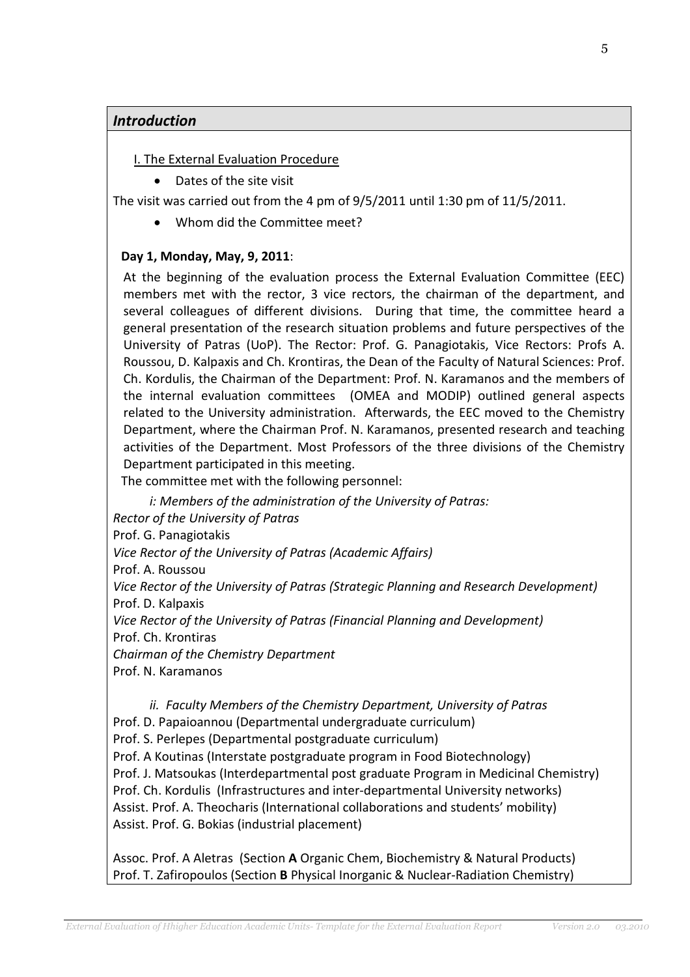# Introduction

# I. The External Evaluation Procedure

• Dates of the site visit

The visit was carried out from the 4 pm of 9/5/2011 until 1:30 pm of 11/5/2011.

• Whom did the Committee meet?

# Day 1, Monday, May, 9, 2011:

At the beginning of the evaluation process the External Evaluation Committee (EEC) members met with the rector, 3 vice rectors, the chairman of the department, and several colleagues of different divisions. During that time, the committee heard a general presentation of the research situation problems and future perspectives of the University of Patras (UoP). The Rector: Prof. G. Panagiotakis, Vice Rectors: Profs A. Roussou, D. Kalpaxis and Ch. Krontiras, the Dean of the Faculty of Natural Sciences: Prof. Ch. Kordulis, the Chairman of the Department: Prof. N. Karamanos and the members of the internal evaluation committees (OMEA and MODIP) outlined general aspects related to the University administration. Afterwards, the EEC moved to the Chemistry Department, where the Chairman Prof. N. Karamanos, presented research and teaching activities of the Department. Most Professors of the three divisions of the Chemistry Department participated in this meeting.

The committee met with the following personnel:

i: Members of the administration of the University of Patras:

Rector of the University of Patras

Prof. G. Panagiotakis

Vice Rector of the University of Patras (Academic Affairs)

Prof. A. Roussou

Vice Rector of the University of Patras (Strategic Planning and Research Development) Prof. D. Kalpaxis

Vice Rector of the University of Patras (Financial Planning and Development)

Prof. Ch. Krontiras

Chairman of the Chemistry Department

Prof. N. Karamanos

ii. Faculty Members of the Chemistry Department, University of Patras Prof. D. Papaioannou (Departmental undergraduate curriculum) Prof. S. Perlepes (Departmental postgraduate curriculum) Prof. A Koutinas (Interstate postgraduate program in Food Biotechnology) Prof. J. Matsoukas (Interdepartmental post graduate Program in Medicinal Chemistry) Prof. Ch. Kordulis (Infrastructures and inter-departmental University networks) Assist. Prof. A. Theocharis (International collaborations and students' mobility) Assist. Prof. G. Bokias (industrial placement)

Assoc. Prof. A Aletras (Section A Organic Chem, Biochemistry & Natural Products) Prof. T. Zafiropoulos (Section B Physical Inorganic & Nuclear-Radiation Chemistry)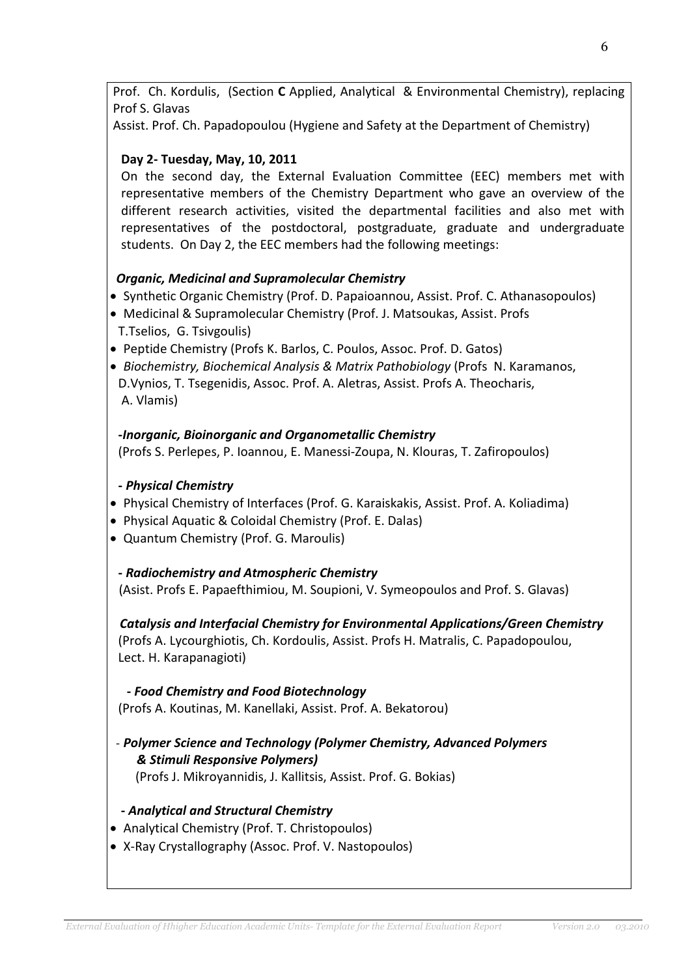Prof. Ch. Kordulis, (Section C Applied, Analytical & Environmental Chemistry), replacing Prof S. Glavas

Assist. Prof. Ch. Papadopoulou (Hygiene and Safety at the Department of Chemistry)

# Day 2- Tuesday, May, 10, 2011

On the second day, the External Evaluation Committee (EEC) members met with representative members of the Chemistry Department who gave an overview of the different research activities, visited the departmental facilities and also met with representatives of the postdoctoral, postgraduate, graduate and undergraduate students. On Day 2, the EEC members had the following meetings:

# Organic, Medicinal and Supramolecular Chemistry

- Synthetic Organic Chemistry (Prof. D. Papaioannou, Assist. Prof. C. Athanasopoulos)
- Medicinal & Supramolecular Chemistry (Prof. J. Matsoukas, Assist. Profs T.Tselios, G. Tsivgoulis)
- Peptide Chemistry (Profs K. Barlos, C. Poulos, Assoc. Prof. D. Gatos)
- Biochemistry, Biochemical Analysis & Matrix Pathobiology (Profs N. Karamanos, D.Vynios, T. Tsegenidis, Assoc. Prof. A. Aletras, Assist. Profs A. Theocharis, A. Vlamis)

# -Inorganic, Bioinorganic and Organometallic Chemistry

(Profs S. Perlepes, P. Ioannou, E. Manessi-Zoupa, N. Klouras, T. Zafiropoulos)

# - Physical Chemistry

- Physical Chemistry of Interfaces (Prof. G. Karaiskakis, Assist. Prof. A. Koliadima)
- Physical Aquatic & Coloidal Chemistry (Prof. E. Dalas)
- Quantum Chemistry (Prof. G. Maroulis)

# - Radiochemistry and Atmospheric Chemistry

(Asist. Profs E. Papaefthimiou, M. Soupioni, V. Symeopoulos and Prof. S. Glavas)

 Catalysis and Interfacial Chemistry for Environmental Applications/Green Chemistry (Profs A. Lycourghiotis, Ch. Kordoulis, Assist. Profs H. Matralis, C. Papadopoulou, Lect. H. Karapanagioti)

# - Food Chemistry and Food Biotechnology

(Profs A. Koutinas, M. Kanellaki, Assist. Prof. A. Bekatorou)

# - Polymer Science and Technology (Polymer Chemistry, Advanced Polymers & Stimuli Responsive Polymers)

(Profs J. Mikroyannidis, J. Kallitsis, Assist. Prof. G. Bokias)

# - Analytical and Structural Chemistry

- Analytical Chemistry (Prof. T. Christopoulos)
- X-Ray Crystallography (Assoc. Prof. V. Nastopoulos)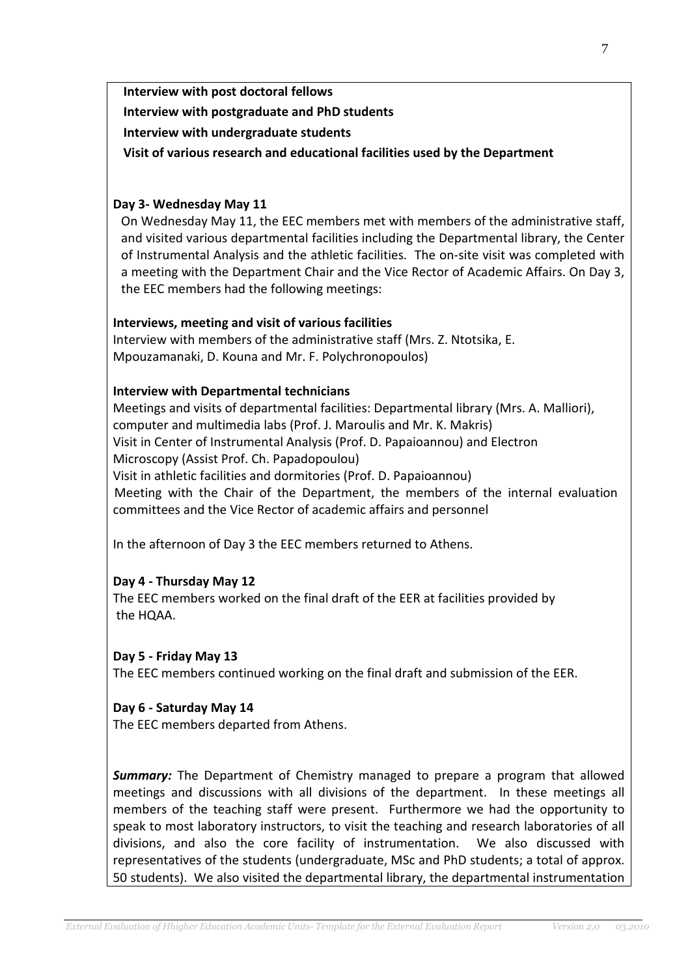Interview with post doctoral fellows Interview with postgraduate and PhD students Interview with undergraduate students

Visit of various research and educational facilities used by the Department

### Day 3- Wednesday May 11

On Wednesday May 11, the EEC members met with members of the administrative staff, and visited various departmental facilities including the Departmental library, the Center of Instrumental Analysis and the athletic facilities. The on-site visit was completed with a meeting with the Department Chair and the Vice Rector of Academic Affairs. On Day 3, the EEC members had the following meetings:

### Interviews, meeting and visit of various facilities

Interview with members of the administrative staff (Mrs. Z. Ntotsika, E. Mpouzamanaki, D. Kouna and Mr. F. Polychronopoulos)

### Interview with Departmental technicians

Meetings and visits of departmental facilities: Departmental library (Mrs. A. Malliori), computer and multimedia labs (Prof. J. Maroulis and Mr. K. Makris) Visit in Center of Instrumental Analysis (Prof. D. Papaioannou) and Electron Microscopy (Assist Prof. Ch. Papadopoulou) Visit in athletic facilities and dormitories (Prof. D. Papaioannou) Meeting with the Chair of the Department, the members of the internal evaluation committees and the Vice Rector of academic affairs and personnel

In the afternoon of Day 3 the EEC members returned to Athens.

# Day 4 - Thursday May 12

The EEC members worked on the final draft of the EER at facilities provided by the HQAA.

# Day 5 - Friday May 13

The EEC members continued working on the final draft and submission of the EER.

# Day 6 - Saturday May 14

The EEC members departed from Athens.

**Summary:** The Department of Chemistry managed to prepare a program that allowed meetings and discussions with all divisions of the department. In these meetings all members of the teaching staff were present. Furthermore we had the opportunity to speak to most laboratory instructors, to visit the teaching and research laboratories of all divisions, and also the core facility of instrumentation. We also discussed with representatives of the students (undergraduate, MSc and PhD students; a total of approx. 50 students). We also visited the departmental library, the departmental instrumentation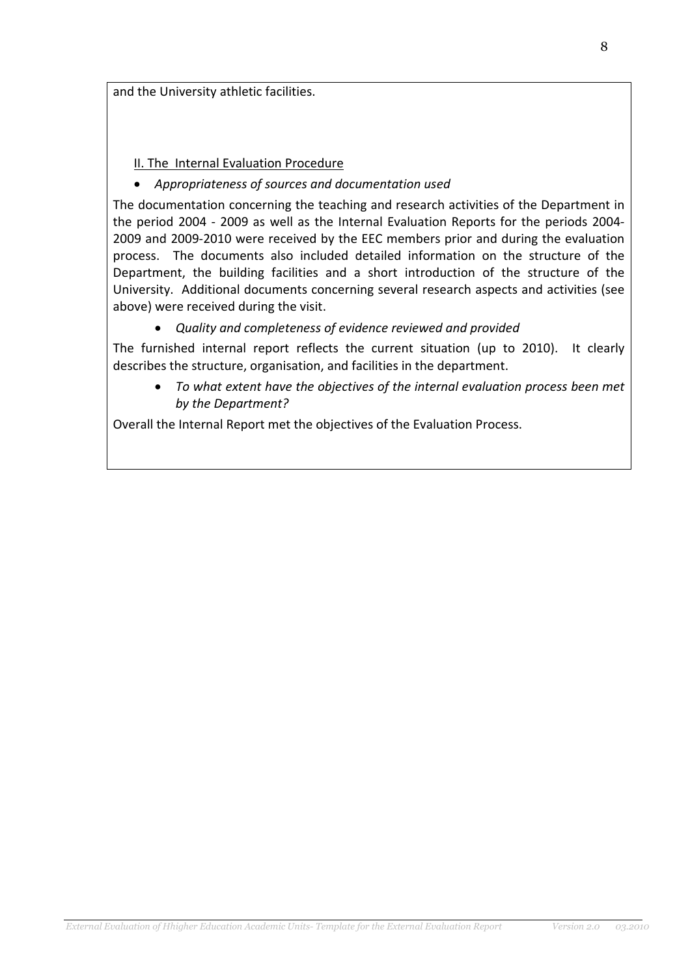and the University athletic facilities.

# II. The Internal Evaluation Procedure

# • Appropriateness of sources and documentation used

The documentation concerning the teaching and research activities of the Department in the period 2004 - 2009 as well as the Internal Evaluation Reports for the periods 2004- 2009 and 2009-2010 were received by the EEC members prior and during the evaluation process. The documents also included detailed information on the structure of the Department, the building facilities and a short introduction of the structure of the University. Additional documents concerning several research aspects and activities (see above) were received during the visit.

• Quality and completeness of evidence reviewed and provided

The furnished internal report reflects the current situation (up to 2010). It clearly describes the structure, organisation, and facilities in the department.

• To what extent have the objectives of the internal evaluation process been met by the Department?

Overall the Internal Report met the objectives of the Evaluation Process.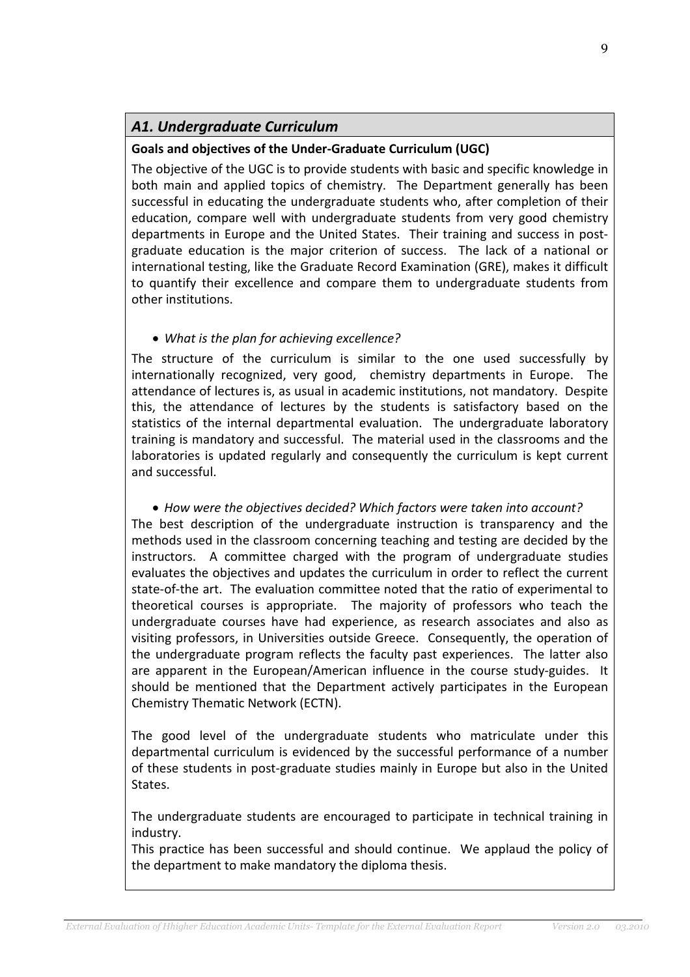# Α1. Undergraduate Curriculum

# Goals and objectives of the Under-Graduate Curriculum (UGC)

The objective of the UGC is to provide students with basic and specific knowledge in both main and applied topics of chemistry. The Department generally has been successful in educating the undergraduate students who, after completion of their education, compare well with undergraduate students from very good chemistry departments in Europe and the United States. Their training and success in postgraduate education is the major criterion of success. The lack of a national or international testing, like the Graduate Record Examination (GRE), makes it difficult to quantify their excellence and compare them to undergraduate students from other institutions.

# • What is the plan for achieving excellence?

The structure of the curriculum is similar to the one used successfully by internationally recognized, very good, chemistry departments in Europe. The attendance of lectures is, as usual in academic institutions, not mandatory. Despite this, the attendance of lectures by the students is satisfactory based on the statistics of the internal departmental evaluation. The undergraduate laboratory training is mandatory and successful. The material used in the classrooms and the laboratories is updated regularly and consequently the curriculum is kept current and successful.

• How were the objectives decided? Which factors were taken into account? The best description of the undergraduate instruction is transparency and the methods used in the classroom concerning teaching and testing are decided by the instructors. A committee charged with the program of undergraduate studies evaluates the objectives and updates the curriculum in order to reflect the current state-of-the art. The evaluation committee noted that the ratio of experimental to theoretical courses is appropriate. The majority of professors who teach the undergraduate courses have had experience, as research associates and also as visiting professors, in Universities outside Greece. Consequently, the operation of the undergraduate program reflects the faculty past experiences. The latter also are apparent in the European/American influence in the course study-guides. It should be mentioned that the Department actively participates in the European Chemistry Thematic Network (ECTN).

The good level of the undergraduate students who matriculate under this departmental curriculum is evidenced by the successful performance of a number of these students in post-graduate studies mainly in Europe but also in the United States.

The undergraduate students are encouraged to participate in technical training in industry.

This practice has been successful and should continue. We applaud the policy of the department to make mandatory the diploma thesis.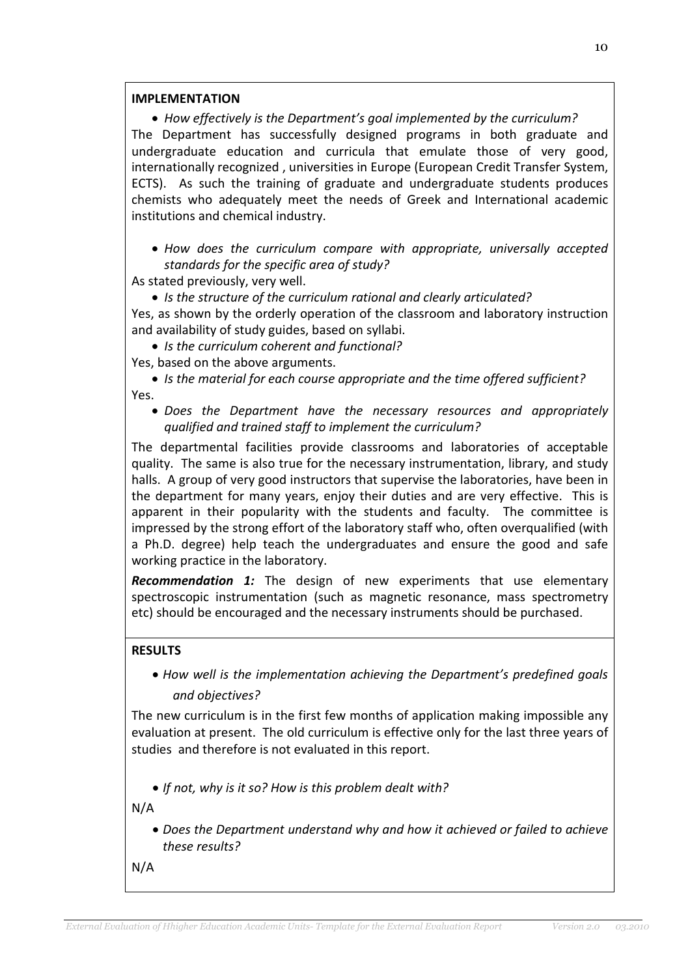### IMPI FMFNTATION

• How effectively is the Department's goal implemented by the curriculum? The Department has successfully designed programs in both graduate and undergraduate education and curricula that emulate those of very good, internationally recognized , universities in Europe (European Credit Transfer System, ECTS). As such the training of graduate and undergraduate students produces chemists who adequately meet the needs of Greek and International academic institutions and chemical industry.

- How does the curriculum compare with appropriate, universally accepted standards for the specific area of study?
- As stated previously, very well.
	- Is the structure of the curriculum rational and clearly articulated?

Yes, as shown by the orderly operation of the classroom and laboratory instruction and availability of study guides, based on syllabi.

• Is the curriculum coherent and functional?

Yes, based on the above arguments.

• Is the material for each course appropriate and the time offered sufficient? Yes.

• Does the Department have the necessary resources and appropriately qualified and trained staff to implement the curriculum?

The departmental facilities provide classrooms and laboratories of acceptable quality. The same is also true for the necessary instrumentation, library, and study halls. A group of very good instructors that supervise the laboratories, have been in the department for many years, enjoy their duties and are very effective. This is apparent in their popularity with the students and faculty. The committee is impressed by the strong effort of the laboratory staff who, often overqualified (with a Ph.D. degree) help teach the undergraduates and ensure the good and safe working practice in the laboratory.

Recommendation 1: The design of new experiments that use elementary spectroscopic instrumentation (such as magnetic resonance, mass spectrometry etc) should be encouraged and the necessary instruments should be purchased.

# RESULTS

• How well is the implementation achieving the Department's predefined goals and objectives?

The new curriculum is in the first few months of application making impossible any evaluation at present. The old curriculum is effective only for the last three years of studies and therefore is not evaluated in this report.

• If not, why is it so? How is this problem dealt with?

N/A

• Does the Department understand why and how it achieved or failed to achieve these results?

N/A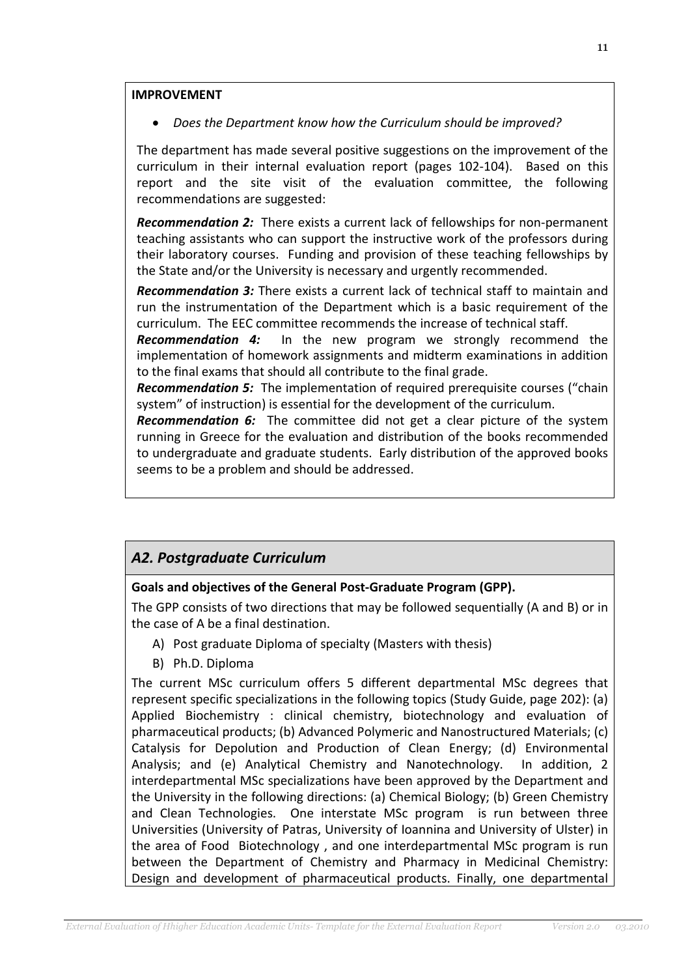### IMPROVEMENT

• Does the Department know how the Curriculum should be improved?

The department has made several positive suggestions on the improvement of the curriculum in their internal evaluation report (pages 102-104). Based on this report and the site visit of the evaluation committee, the following recommendations are suggested:

Recommendation 2: There exists a current lack of fellowships for non-permanent teaching assistants who can support the instructive work of the professors during their laboratory courses. Funding and provision of these teaching fellowships by the State and/or the University is necessary and urgently recommended.

**Recommendation 3:** There exists a current lack of technical staff to maintain and run the instrumentation of the Department which is a basic requirement of the curriculum. The EEC committee recommends the increase of technical staff.

**Recommendation 4:** In the new program we strongly recommend the implementation of homework assignments and midterm examinations in addition to the final exams that should all contribute to the final grade.

**Recommendation 5:** The implementation of required prerequisite courses ("chain system" of instruction) is essential for the development of the curriculum.

**Recommendation 6:** The committee did not get a clear picture of the system running in Greece for the evaluation and distribution of the books recommended to undergraduate and graduate students. Early distribution of the approved books seems to be a problem and should be addressed.

# Α2. Postgraduate Curriculum

### Goals and objectives of the General Post-Graduate Program (GPP).

The GPP consists of two directions that may be followed sequentially (A and B) or in the case of A be a final destination.

- A) Post graduate Diploma of specialty (Masters with thesis)
- B) Ph.D. Diploma

The current MSc curriculum offers 5 different departmental MSc degrees that represent specific specializations in the following topics (Study Guide, page 202): (a) Applied Biochemistry : clinical chemistry, biotechnology and evaluation of pharmaceutical products; (b) Advanced Polymeric and Nanostructured Materials; (c) Catalysis for Depolution and Production of Clean Energy; (d) Environmental Analysis; and (e) Analytical Chemistry and Nanotechnology. In addition, 2 interdepartmental MSc specializations have been approved by the Department and the University in the following directions: (a) Chemical Biology; (b) Green Chemistry and Clean Technologies. One interstate MSc program is run between three Universities (University of Patras, University of Ioannina and University of Ulster) in the area of Food Biotechnology , and one interdepartmental MSc program is run between the Department of Chemistry and Pharmacy in Medicinal Chemistry: Design and development of pharmaceutical products. Finally, one departmental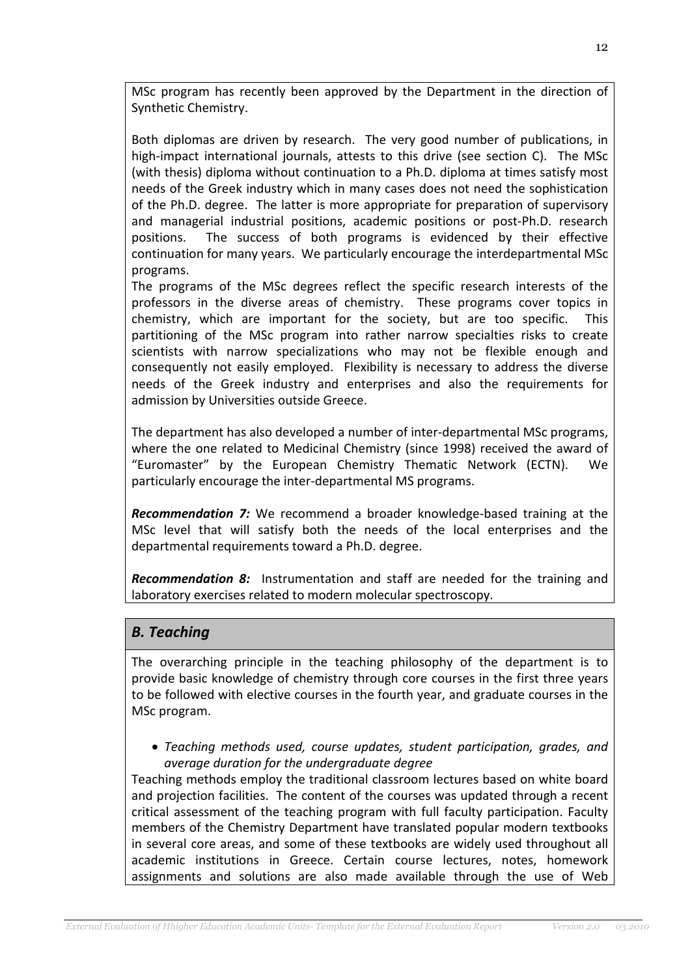MSc program has recently been approved by the Department in the direction of Synthetic Chemistry.

Both diplomas are driven by research. The very good number of publications, in high-impact international journals, attests to this drive (see section C). The MSc (with thesis) diploma without continuation to a Ph.D. diploma at times satisfy most needs of the Greek industry which in many cases does not need the sophistication of the Ph.D. degree. The latter is more appropriate for preparation of supervisory and managerial industrial positions, academic positions or post-Ph.D. research positions. The success of both programs is evidenced by their effective continuation for many years. We particularly encourage the interdepartmental MSc programs.

The programs of the MSc degrees reflect the specific research interests of the professors in the diverse areas of chemistry. These programs cover topics in chemistry, which are important for the society, but are too specific. This partitioning of the MSc program into rather narrow specialties risks to create scientists with narrow specializations who may not be flexible enough and consequently not easily employed. Flexibility is necessary to address the diverse needs of the Greek industry and enterprises and also the requirements for admission by Universities outside Greece.

The department has also developed a number of inter-departmental MSc programs, where the one related to Medicinal Chemistry (since 1998) received the award of "Euromaster" by the European Chemistry Thematic Network (ECTN). We particularly encourage the inter-departmental MS programs.

Recommendation 7: We recommend a broader knowledge-based training at the MSc level that will satisfy both the needs of the local enterprises and the departmental requirements toward a Ph.D. degree.

Recommendation 8: Instrumentation and staff are needed for the training and laboratory exercises related to modern molecular spectroscopy.

# B. Teaching

The overarching principle in the teaching philosophy of the department is to provide basic knowledge of chemistry through core courses in the first three years to be followed with elective courses in the fourth year, and graduate courses in the MSc program.

• Teaching methods used, course updates, student participation, grades, and average duration for the undergraduate degree

Teaching methods employ the traditional classroom lectures based on white board and projection facilities. The content of the courses was updated through a recent critical assessment of the teaching program with full faculty participation. Faculty members of the Chemistry Department have translated popular modern textbooks in several core areas, and some of these textbooks are widely used throughout all academic institutions in Greece. Certain course lectures, notes, homework assignments and solutions are also made available through the use of Web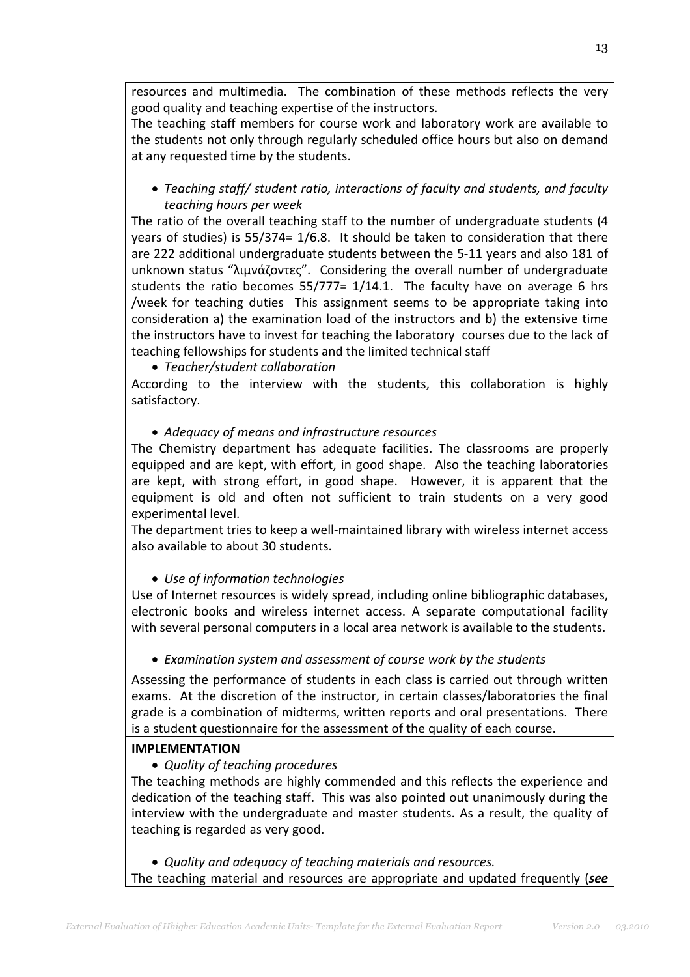resources and multimedia. The combination of these methods reflects the very good quality and teaching expertise of the instructors.

The teaching staff members for course work and laboratory work are available to the students not only through regularly scheduled office hours but also on demand at any requested time by the students.

• Teaching staff/ student ratio, interactions of faculty and students, and faculty teaching hours per week

The ratio of the overall teaching staff to the number of undergraduate students (4 years of studies) is 55/374= 1/6.8. It should be taken to consideration that there are 222 additional undergraduate students between the 5-11 years and also 181 of unknown status "λιμνάζοντες". Considering the overall number of undergraduate students the ratio becomes 55/777= 1/14.1. The faculty have on average 6 hrs /week for teaching duties This assignment seems to be appropriate taking into consideration a) the examination load of the instructors and b) the extensive time the instructors have to invest for teaching the laboratory courses due to the lack of teaching fellowships for students and the limited technical staff

• Teacher/student collaboration

According to the interview with the students, this collaboration is highly satisfactory.

• Adequacy of means and infrastructure resources

The Chemistry department has adequate facilities. The classrooms are properly equipped and are kept, with effort, in good shape. Also the teaching laboratories are kept, with strong effort, in good shape. However, it is apparent that the equipment is old and often not sufficient to train students on a very good experimental level.

The department tries to keep a well-maintained library with wireless internet access also available to about 30 students.

• Use of information technologies

Use of Internet resources is widely spread, including online bibliographic databases, electronic books and wireless internet access. A separate computational facility with several personal computers in a local area network is available to the students.

• Examination system and assessment of course work by the students

Assessing the performance of students in each class is carried out through written exams. At the discretion of the instructor, in certain classes/laboratories the final grade is a combination of midterms, written reports and oral presentations. There is a student questionnaire for the assessment of the quality of each course.

# IMPLEMENTATION

• Quality of teaching procedures

The teaching methods are highly commended and this reflects the experience and dedication of the teaching staff. This was also pointed out unanimously during the interview with the undergraduate and master students. As a result, the quality of teaching is regarded as very good.

• Quality and adequacy of teaching materials and resources.

The teaching material and resources are appropriate and updated frequently (see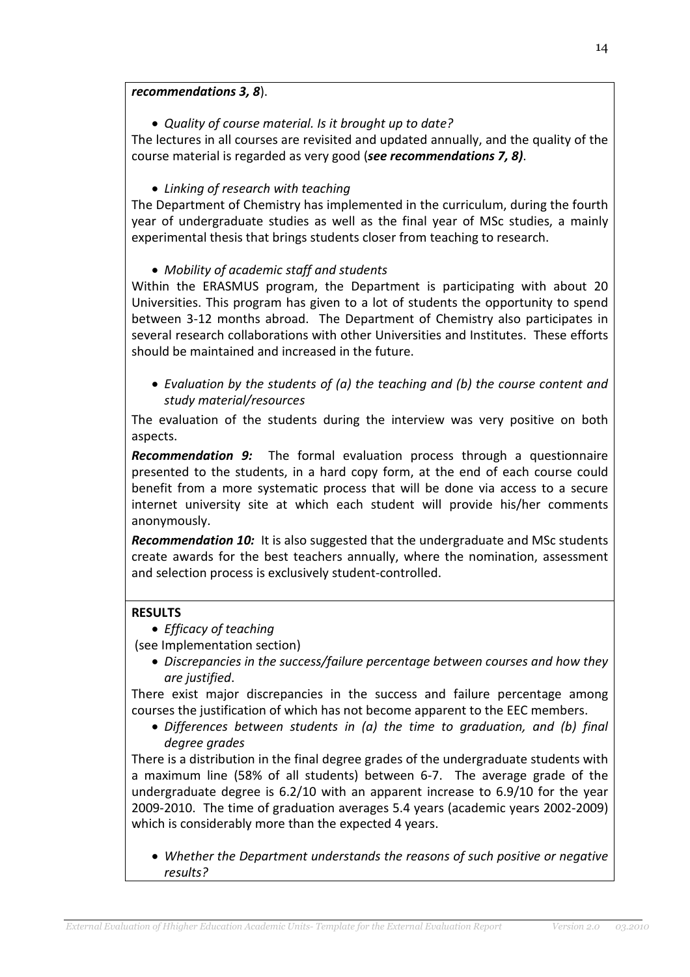### recommendations 3, 8).

• Quality of course material. Is it brought up to date?

The lectures in all courses are revisited and updated annually, and the quality of the course material is regarded as very good (see recommendations 7, 8).

# • Linking of research with teaching

The Department of Chemistry has implemented in the curriculum, during the fourth year of undergraduate studies as well as the final year of MSc studies, a mainly experimental thesis that brings students closer from teaching to research.

### • Mobility of academic staff and students

Within the ERASMUS program, the Department is participating with about 20 Universities. This program has given to a lot of students the opportunity to spend between 3-12 months abroad. The Department of Chemistry also participates in several research collaborations with other Universities and Institutes. These efforts should be maintained and increased in the future.

• Evaluation by the students of (a) the teaching and (b) the course content and study material/resources

The evaluation of the students during the interview was very positive on both aspects.

**Recommendation 9:** The formal evaluation process through a questionnaire presented to the students, in a hard copy form, at the end of each course could benefit from a more systematic process that will be done via access to a secure internet university site at which each student will provide his/her comments anonymously.

**Recommendation 10:** It is also suggested that the undergraduate and MSc students create awards for the best teachers annually, where the nomination, assessment and selection process is exclusively student-controlled.

### RESULTS

• Efficacy of teaching

(see Implementation section)

• Discrepancies in the success/failure percentage between courses and how they are justified.

There exist major discrepancies in the success and failure percentage among courses the justification of which has not become apparent to the EEC members.

• Differences between students in (a) the time to graduation, and (b) final degree grades

There is a distribution in the final degree grades of the undergraduate students with a maximum line (58% of all students) between 6-7. The average grade of the undergraduate degree is 6.2/10 with an apparent increase to 6.9/10 for the year 2009-2010. The time of graduation averages 5.4 years (academic years 2002-2009) which is considerably more than the expected 4 years.

• Whether the Department understands the reasons of such positive or negative results?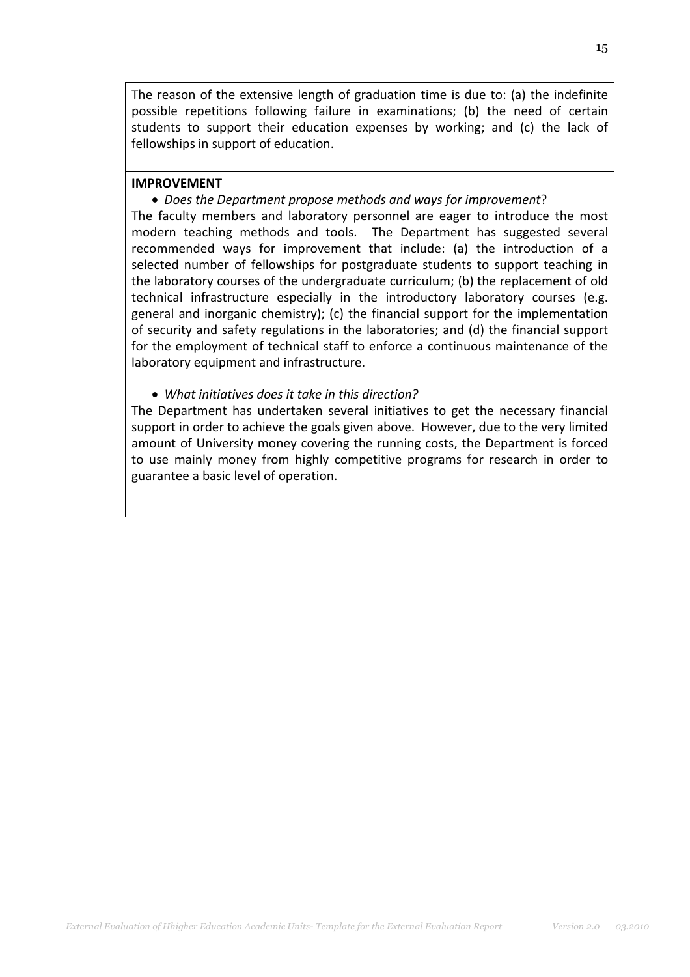The reason of the extensive length of graduation time is due to: (a) the indefinite possible repetitions following failure in examinations; (b) the need of certain students to support their education expenses by working; and (c) the lack of fellowships in support of education.

#### IMPROVEMENT

• Does the Department propose methods and ways for improvement?

The faculty members and laboratory personnel are eager to introduce the most modern teaching methods and tools. The Department has suggested several recommended ways for improvement that include: (a) the introduction of a selected number of fellowships for postgraduate students to support teaching in the laboratory courses of the undergraduate curriculum; (b) the replacement of old technical infrastructure especially in the introductory laboratory courses (e.g. general and inorganic chemistry); (c) the financial support for the implementation of security and safety regulations in the laboratories; and (d) the financial support for the employment of technical staff to enforce a continuous maintenance of the laboratory equipment and infrastructure.

• What initiatives does it take in this direction?

The Department has undertaken several initiatives to get the necessary financial support in order to achieve the goals given above. However, due to the very limited amount of University money covering the running costs, the Department is forced to use mainly money from highly competitive programs for research in order to guarantee a basic level of operation.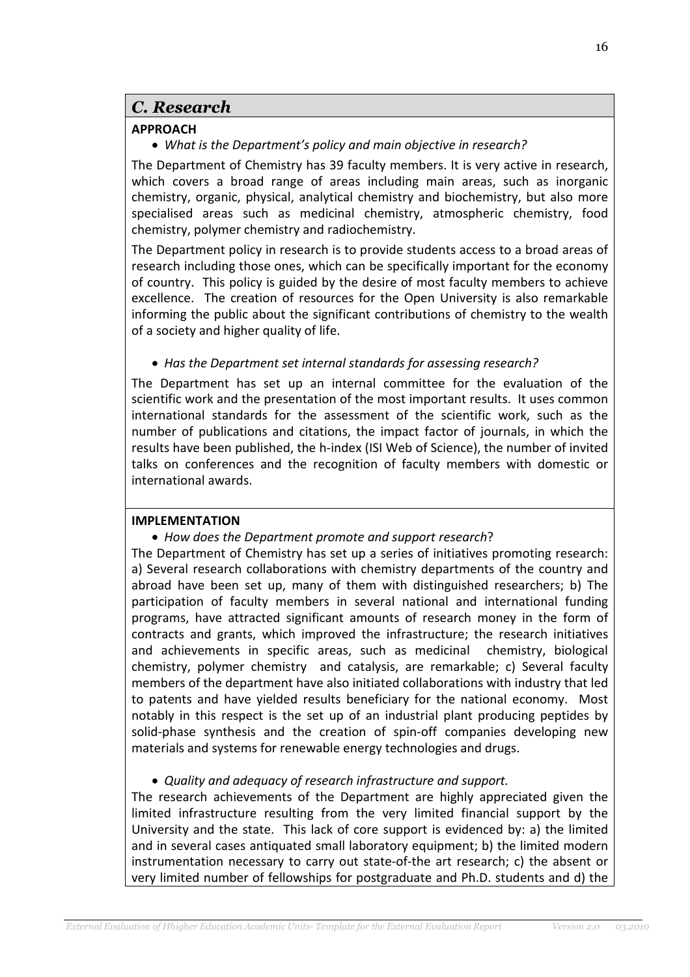# C. Research

# APPROACH

• What is the Department's policy and main objective in research?

The Department of Chemistry has 39 faculty members. It is very active in research, which covers a broad range of areas including main areas, such as inorganic chemistry, organic, physical, analytical chemistry and biochemistry, but also more specialised areas such as medicinal chemistry, atmospheric chemistry, food chemistry, polymer chemistry and radiochemistry.

The Department policy in research is to provide students access to a broad areas of research including those ones, which can be specifically important for the economy of country. This policy is guided by the desire of most faculty members to achieve excellence. The creation of resources for the Open University is also remarkable informing the public about the significant contributions of chemistry to the wealth of a society and higher quality of life.

# • Has the Department set internal standards for assessing research?

The Department has set up an internal committee for the evaluation of the scientific work and the presentation of the most important results. It uses common international standards for the assessment of the scientific work, such as the number of publications and citations, the impact factor of journals, in which the results have been published, the h-index (ISI Web of Science), the number of invited talks on conferences and the recognition of faculty members with domestic or international awards.

# IMPLEMENTATION

# • How does the Department promote and support research?

The Department of Chemistry has set up a series of initiatives promoting research: a) Several research collaborations with chemistry departments of the country and abroad have been set up, many of them with distinguished researchers; b) The participation of faculty members in several national and international funding programs, have attracted significant amounts of research money in the form of contracts and grants, which improved the infrastructure; the research initiatives and achievements in specific areas, such as medicinal chemistry, biological chemistry, polymer chemistry and catalysis, are remarkable; c) Several faculty members of the department have also initiated collaborations with industry that led to patents and have yielded results beneficiary for the national economy. Most notably in this respect is the set up of an industrial plant producing peptides by solid-phase synthesis and the creation of spin-off companies developing new materials and systems for renewable energy technologies and drugs.

# • Quality and adequacy of research infrastructure and support.

The research achievements of the Department are highly appreciated given the limited infrastructure resulting from the very limited financial support by the University and the state. This lack of core support is evidenced by: a) the limited and in several cases antiquated small laboratory equipment; b) the limited modern instrumentation necessary to carry out state-of-the art research; c) the absent or very limited number of fellowships for postgraduate and Ph.D. students and d) the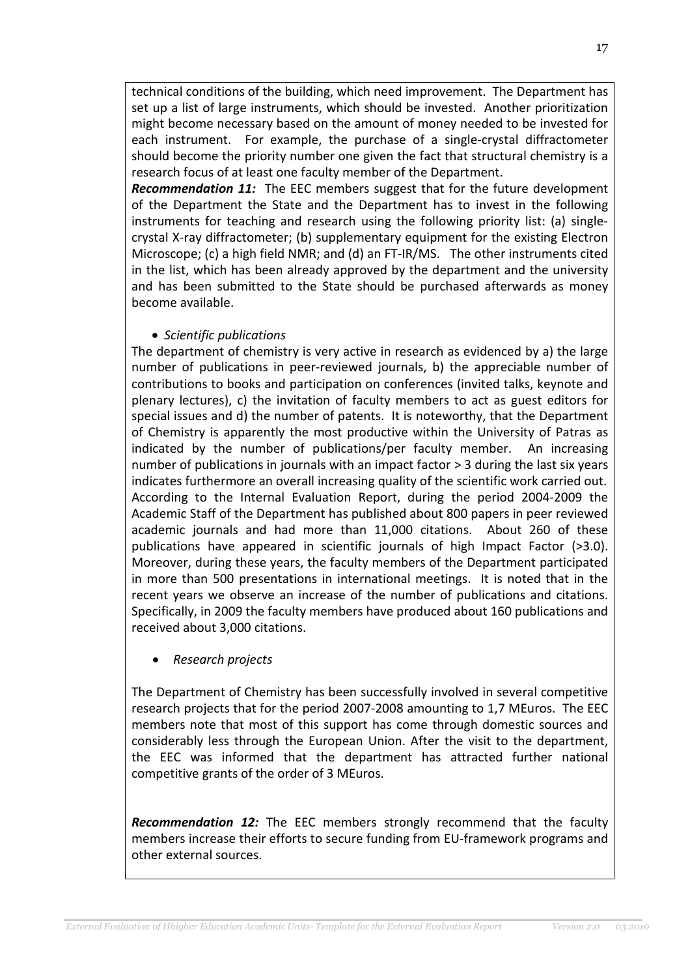technical conditions of the building, which need improvement. The Department has set up a list of large instruments, which should be invested. Another prioritization might become necessary based on the amount of money needed to be invested for each instrument. For example, the purchase of a single-crystal diffractometer should become the priority number one given the fact that structural chemistry is a research focus of at least one faculty member of the Department.

**Recommendation 11:** The EEC members suggest that for the future development of the Department the State and the Department has to invest in the following instruments for teaching and research using the following priority list: (a) singlecrystal X-ray diffractometer; (b) supplementary equipment for the existing Electron Microscope; (c) a high field NMR; and (d) an FT-IR/MS. The other instruments cited in the list, which has been already approved by the department and the university and has been submitted to the State should be purchased afterwards as money become available.

# • Scientific publications

The department of chemistry is very active in research as evidenced by a) the large number of publications in peer-reviewed journals, b) the appreciable number of contributions to books and participation on conferences (invited talks, keynote and plenary lectures), c) the invitation of faculty members to act as guest editors for special issues and d) the number of patents. It is noteworthy, that the Department of Chemistry is apparently the most productive within the University of Patras as indicated by the number of publications/per faculty member. An increasing number of publications in journals with an impact factor > 3 during the last six years indicates furthermore an overall increasing quality of the scientific work carried out. According to the Internal Evaluation Report, during the period 2004-2009 the Academic Staff of the Department has published about 800 papers in peer reviewed academic journals and had more than 11,000 citations. About 260 of these publications have appeared in scientific journals of high Impact Factor (>3.0). Moreover, during these years, the faculty members of the Department participated in more than 500 presentations in international meetings. It is noted that in the recent years we observe an increase of the number of publications and citations. Specifically, in 2009 the faculty members have produced about 160 publications and received about 3,000 citations.

• Research projects

The Department of Chemistry has been successfully involved in several competitive research projects that for the period 2007-2008 amounting to 1,7 MEuros. The EEC members note that most of this support has come through domestic sources and considerably less through the European Union. After the visit to the department, the EEC was informed that the department has attracted further national competitive grants of the order of 3 MEuros.

Recommendation 12: The EEC members strongly recommend that the faculty members increase their efforts to secure funding from EU-framework programs and other external sources.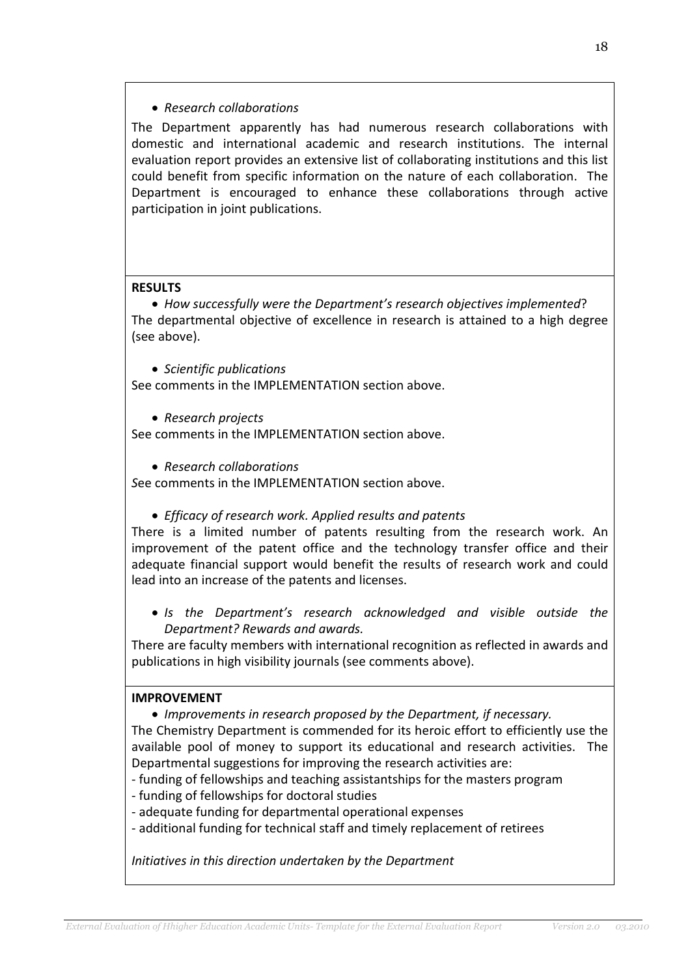### • Research collaborations

The Department apparently has had numerous research collaborations with domestic and international academic and research institutions. The internal evaluation report provides an extensive list of collaborating institutions and this list could benefit from specific information on the nature of each collaboration. The Department is encouraged to enhance these collaborations through active participation in joint publications.

### **RESULTS**

• How successfully were the Department's research objectives implemented? The departmental objective of excellence in research is attained to a high degree (see above).

• Scientific publications

See comments in the IMPLEMENTATION section above.

• Research projects

See comments in the IMPLEMENTATION section above.

• Research collaborations

See comments in the IMPLEMENTATION section above.

• Efficacy of research work. Applied results and patents

There is a limited number of patents resulting from the research work. An improvement of the patent office and the technology transfer office and their adequate financial support would benefit the results of research work and could lead into an increase of the patents and licenses.

• Is the Department's research acknowledged and visible outside the Department? Rewards and awards.

There are faculty members with international recognition as reflected in awards and publications in high visibility journals (see comments above).

### IMPROVEMENT

• Improvements in research proposed by the Department, if necessary.

The Chemistry Department is commended for its heroic effort to efficiently use the available pool of money to support its educational and research activities. The Departmental suggestions for improving the research activities are:

- funding of fellowships and teaching assistantships for the masters program
- funding of fellowships for doctoral studies
- adequate funding for departmental operational expenses
- additional funding for technical staff and timely replacement of retirees

Initiatives in this direction undertaken by the Department

18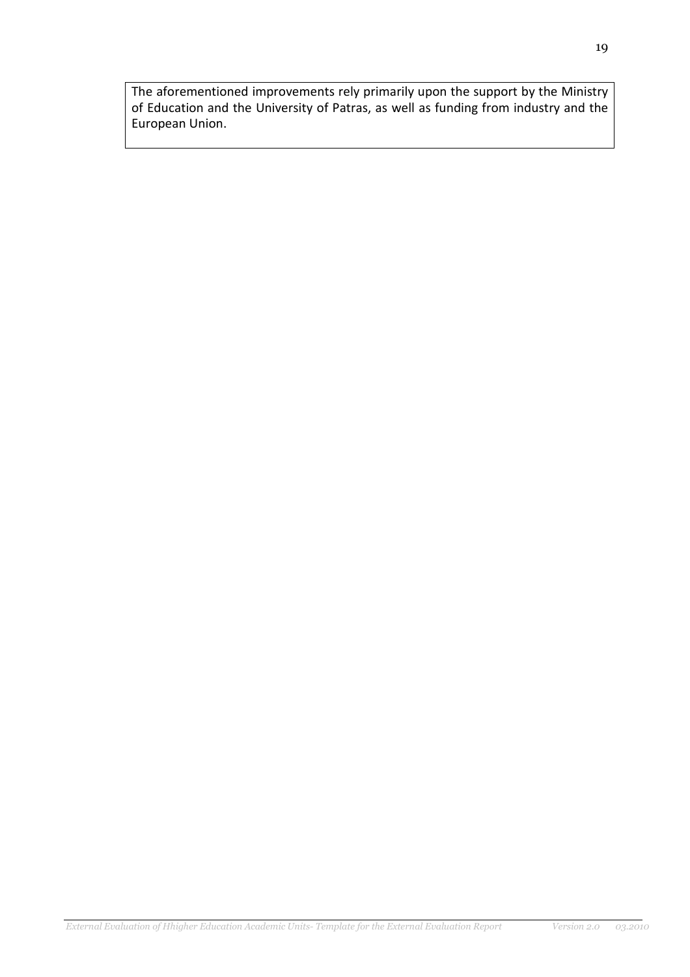The aforementioned improvements rely primarily upon the support by the Ministry of Education and the University of Patras, as well as funding from industry and the European Union.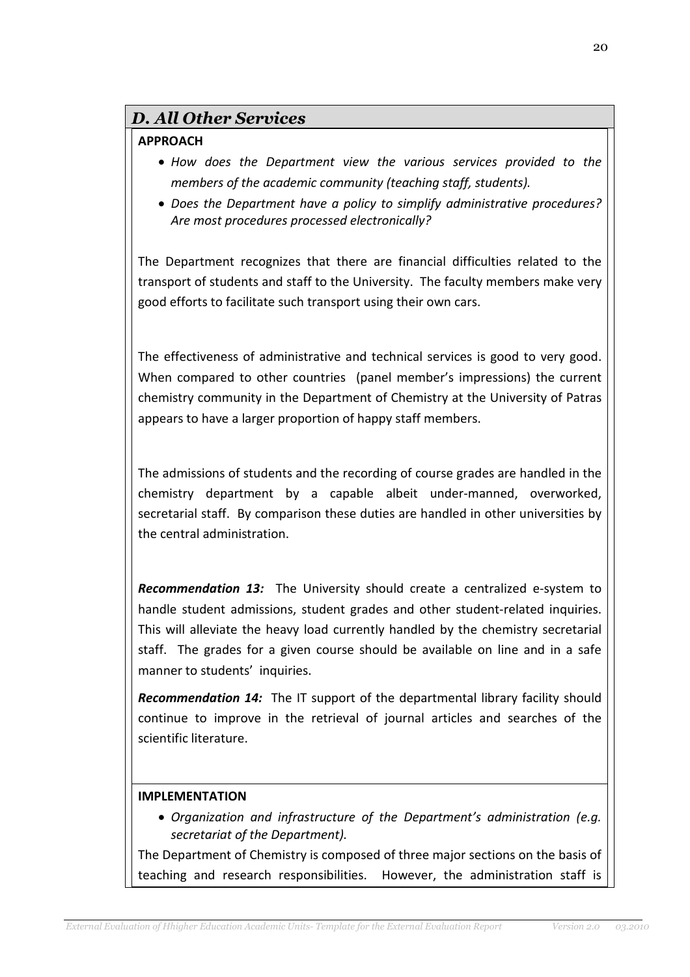# D. All Other Services

# APPROACH

- How does the Department view the various services provided to the members of the academic community (teaching staff, students).
- Does the Department have a policy to simplify administrative procedures? Are most procedures processed electronically?

The Department recognizes that there are financial difficulties related to the transport of students and staff to the University. The faculty members make very good efforts to facilitate such transport using their own cars.

The effectiveness of administrative and technical services is good to very good. When compared to other countries (panel member's impressions) the current chemistry community in the Department of Chemistry at the University of Patras appears to have a larger proportion of happy staff members.

The admissions of students and the recording of course grades are handled in the chemistry department by a capable albeit under-manned, overworked, secretarial staff. By comparison these duties are handled in other universities by the central administration.

Recommendation 13: The University should create a centralized e-system to handle student admissions, student grades and other student-related inquiries. This will alleviate the heavy load currently handled by the chemistry secretarial staff. The grades for a given course should be available on line and in a safe manner to students' inquiries.

Recommendation 14: The IT support of the departmental library facility should continue to improve in the retrieval of journal articles and searches of the scientific literature.

### IMPLEMENTATION

• Organization and infrastructure of the Department's administration (e.g. secretariat of the Department).

The Department of Chemistry is composed of three major sections on the basis of teaching and research responsibilities. However, the administration staff is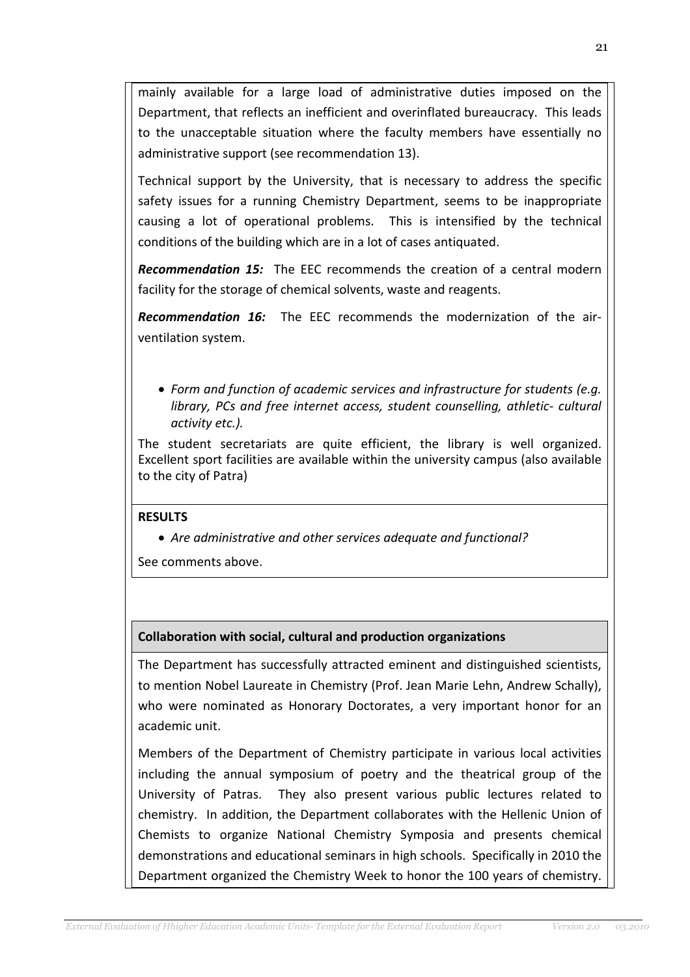mainly available for a large load of administrative duties imposed on the Department, that reflects an inefficient and overinflated bureaucracy. This leads to the unacceptable situation where the faculty members have essentially no administrative support (see recommendation 13).

Technical support by the University, that is necessary to address the specific safety issues for a running Chemistry Department, seems to be inappropriate causing a lot of operational problems. This is intensified by the technical conditions of the building which are in a lot of cases antiquated.

**Recommendation 15:** The EEC recommends the creation of a central modern facility for the storage of chemical solvents, waste and reagents.

Recommendation 16: The EEC recommends the modernization of the airventilation system.

• Form and function of academic services and infrastructure for students (e.g. library, PCs and free internet access, student counselling, athletic- cultural activity etc.).

The student secretariats are quite efficient, the library is well organized. Excellent sport facilities are available within the university campus (also available to the city of Patra)

# **RESULTS**

• Are administrative and other services adequate and functional?

See comments above.

# Collaboration with social, cultural and production organizations

The Department has successfully attracted eminent and distinguished scientists, to mention Nobel Laureate in Chemistry (Prof. Jean Marie Lehn, Andrew Schally), who were nominated as Honorary Doctorates, a very important honor for an academic unit.

Members of the Department of Chemistry participate in various local activities including the annual symposium of poetry and the theatrical group of the University of Patras. They also present various public lectures related to chemistry. In addition, the Department collaborates with the Hellenic Union of Chemists to organize National Chemistry Symposia and presents chemical demonstrations and educational seminars in high schools. Specifically in 2010 the Department organized the Chemistry Week to honor the 100 years of chemistry.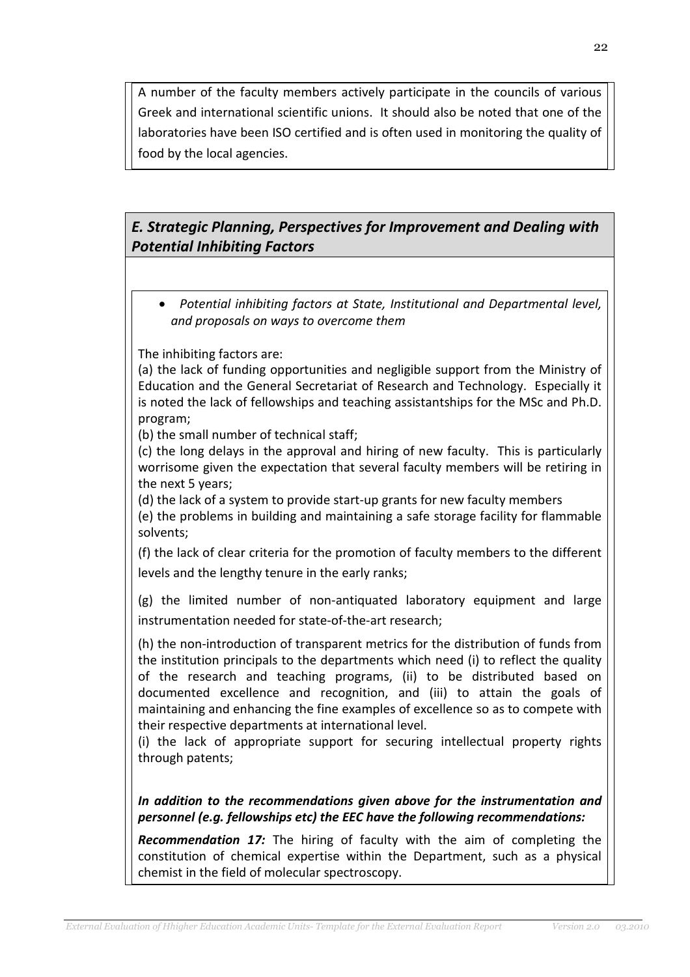A number of the faculty members actively participate in the councils of various Greek and international scientific unions. It should also be noted that one of the laboratories have been ISO certified and is often used in monitoring the quality of food by the local agencies.

# E. Strategic Planning, Perspectives for Improvement and Dealing with Potential Inhibiting Factors

• Potential inhibiting factors at State, Institutional and Departmental level, and proposals on ways to overcome them

The inhibiting factors are:

(a) the lack of funding opportunities and negligible support from the Ministry of Education and the General Secretariat of Research and Technology. Especially it is noted the lack of fellowships and teaching assistantships for the MSc and Ph.D. program;

(b) the small number of technical staff;

(c) the long delays in the approval and hiring of new faculty. This is particularly worrisome given the expectation that several faculty members will be retiring in the next 5 years;

(d) the lack of a system to provide start-up grants for new faculty members (e) the problems in building and maintaining a safe storage facility for flammable solvents;

(f) the lack of clear criteria for the promotion of faculty members to the different levels and the lengthy tenure in the early ranks;

(g) the limited number of non-antiquated laboratory equipment and large instrumentation needed for state-of-the-art research;

(h) the non-introduction of transparent metrics for the distribution of funds from the institution principals to the departments which need (i) to reflect the quality of the research and teaching programs, (ii) to be distributed based on documented excellence and recognition, and (iii) to attain the goals of maintaining and enhancing the fine examples of excellence so as to compete with their respective departments at international level.

(i) the lack of appropriate support for securing intellectual property rights through patents;

In addition to the recommendations given above for the instrumentation and personnel (e.g. fellowships etc) the EEC have the following recommendations:

**Recommendation 17:** The hiring of faculty with the aim of completing the constitution of chemical expertise within the Department, such as a physical chemist in the field of molecular spectroscopy.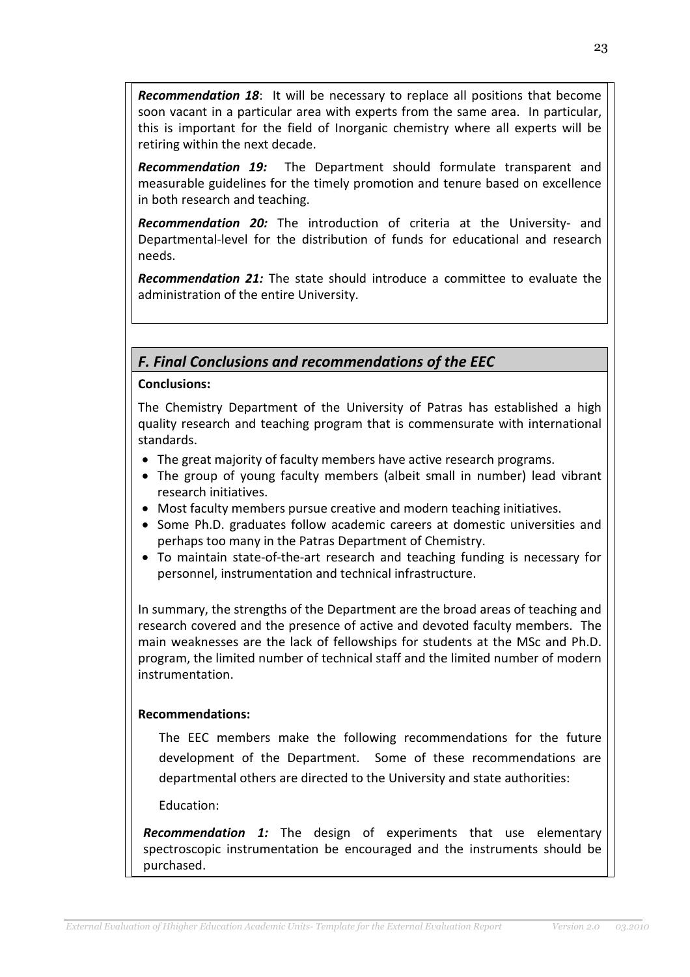**Recommendation 18:** It will be necessary to replace all positions that become soon vacant in a particular area with experts from the same area. In particular, this is important for the field of Inorganic chemistry where all experts will be retiring within the next decade.

**Recommendation 19:** The Department should formulate transparent and measurable guidelines for the timely promotion and tenure based on excellence in both research and teaching.

Recommendation 20: The introduction of criteria at the University- and Departmental-level for the distribution of funds for educational and research needs.

**Recommendation 21:** The state should introduce a committee to evaluate the administration of the entire University.

# F. Final Conclusions and recommendations of the EEC

### Conclusions:

The Chemistry Department of the University of Patras has established a high quality research and teaching program that is commensurate with international standards.

- The great majority of faculty members have active research programs.
- The group of young faculty members (albeit small in number) lead vibrant research initiatives.
- Most faculty members pursue creative and modern teaching initiatives.
- Some Ph.D. graduates follow academic careers at domestic universities and perhaps too many in the Patras Department of Chemistry.
- To maintain state-of-the-art research and teaching funding is necessary for personnel, instrumentation and technical infrastructure.

In summary, the strengths of the Department are the broad areas of teaching and research covered and the presence of active and devoted faculty members. The main weaknesses are the lack of fellowships for students at the MSc and Ph.D. program, the limited number of technical staff and the limited number of modern instrumentation.

# Recommendations:

The EEC members make the following recommendations for the future development of the Department. Some of these recommendations are departmental others are directed to the University and state authorities:

Education:

**Recommendation 1:** The design of experiments that use elementary spectroscopic instrumentation be encouraged and the instruments should be purchased.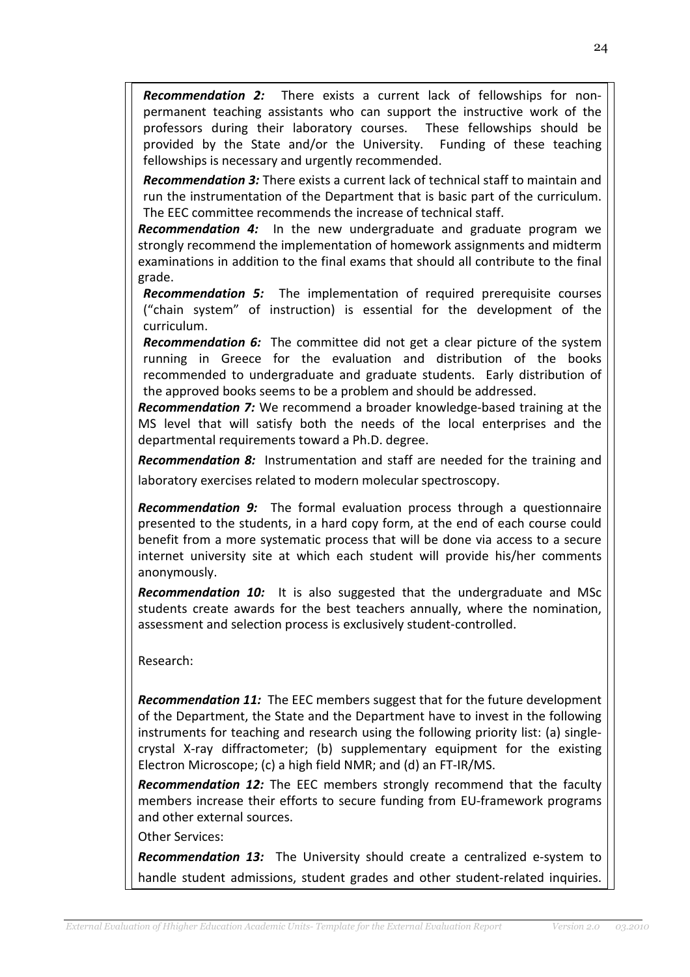**Recommendation 2:** There exists a current lack of fellowships for nonpermanent teaching assistants who can support the instructive work of the professors during their laboratory courses. These fellowships should be provided by the State and/or the University. Funding of these teaching fellowships is necessary and urgently recommended.

**Recommendation 3:** There exists a current lack of technical staff to maintain and run the instrumentation of the Department that is basic part of the curriculum. The EEC committee recommends the increase of technical staff.

**Recommendation 4:** In the new undergraduate and graduate program we strongly recommend the implementation of homework assignments and midterm examinations in addition to the final exams that should all contribute to the final grade.

**Recommendation 5:** The implementation of required prerequisite courses ("chain system" of instruction) is essential for the development of the curriculum.

**Recommendation 6:** The committee did not get a clear picture of the system running in Greece for the evaluation and distribution of the books recommended to undergraduate and graduate students. Early distribution of the approved books seems to be a problem and should be addressed.

**Recommendation 7:** We recommend a broader knowledge-based training at the MS level that will satisfy both the needs of the local enterprises and the departmental requirements toward a Ph.D. degree.

**Recommendation 8:** Instrumentation and staff are needed for the training and laboratory exercises related to modern molecular spectroscopy.

**Recommendation 9:** The formal evaluation process through a questionnaire presented to the students, in a hard copy form, at the end of each course could benefit from a more systematic process that will be done via access to a secure internet university site at which each student will provide his/her comments anonymously.

**Recommendation 10:** It is also suggested that the undergraduate and MSc students create awards for the best teachers annually, where the nomination, assessment and selection process is exclusively student-controlled.

Research:

**Recommendation 11:** The EEC members suggest that for the future development of the Department, the State and the Department have to invest in the following instruments for teaching and research using the following priority list: (a) singlecrystal X-ray diffractometer; (b) supplementary equipment for the existing Electron Microscope; (c) a high field NMR; and (d) an FT-IR/MS.

**Recommendation 12:** The EEC members strongly recommend that the faculty members increase their efforts to secure funding from EU-framework programs and other external sources.

Other Services:

**Recommendation 13:** The University should create a centralized e-system to handle student admissions, student grades and other student-related inquiries.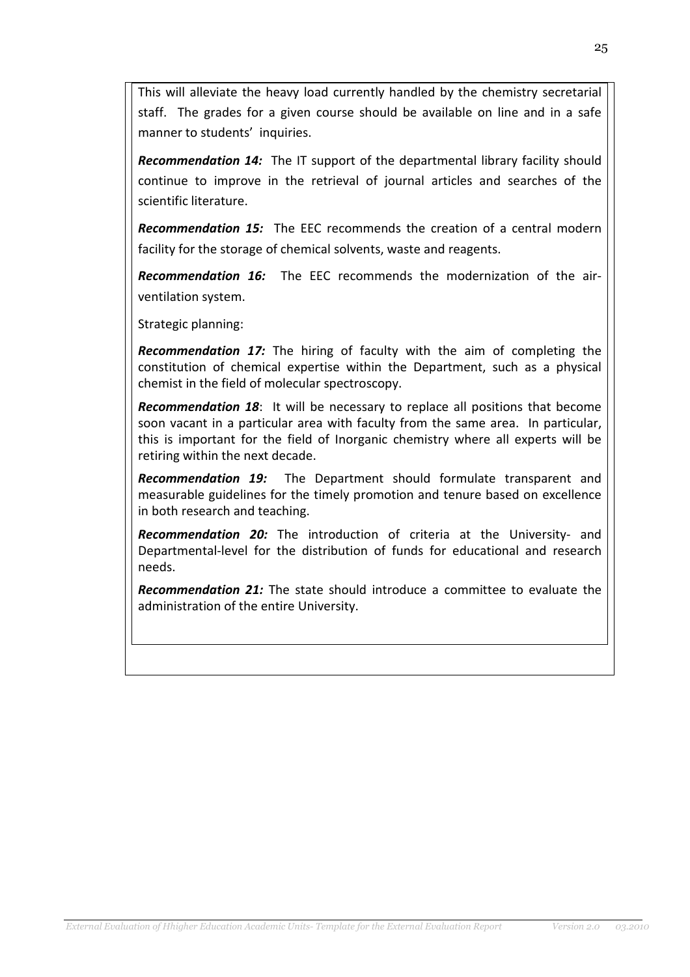This will alleviate the heavy load currently handled by the chemistry secretarial staff. The grades for a given course should be available on line and in a safe manner to students' inquiries.

Recommendation 14: The IT support of the departmental library facility should continue to improve in the retrieval of journal articles and searches of the scientific literature.

Recommendation 15: The EEC recommends the creation of a central modern facility for the storage of chemical solvents, waste and reagents.

**Recommendation 16:** The EEC recommends the modernization of the airventilation system.

Strategic planning:

Recommendation 17: The hiring of faculty with the aim of completing the constitution of chemical expertise within the Department, such as a physical chemist in the field of molecular spectroscopy.

**Recommendation 18:** It will be necessary to replace all positions that become soon vacant in a particular area with faculty from the same area. In particular, this is important for the field of Inorganic chemistry where all experts will be retiring within the next decade.

**Recommendation 19:** The Department should formulate transparent and measurable guidelines for the timely promotion and tenure based on excellence in both research and teaching.

Recommendation 20: The introduction of criteria at the University- and Departmental-level for the distribution of funds for educational and research needs.

Recommendation 21: The state should introduce a committee to evaluate the administration of the entire University.